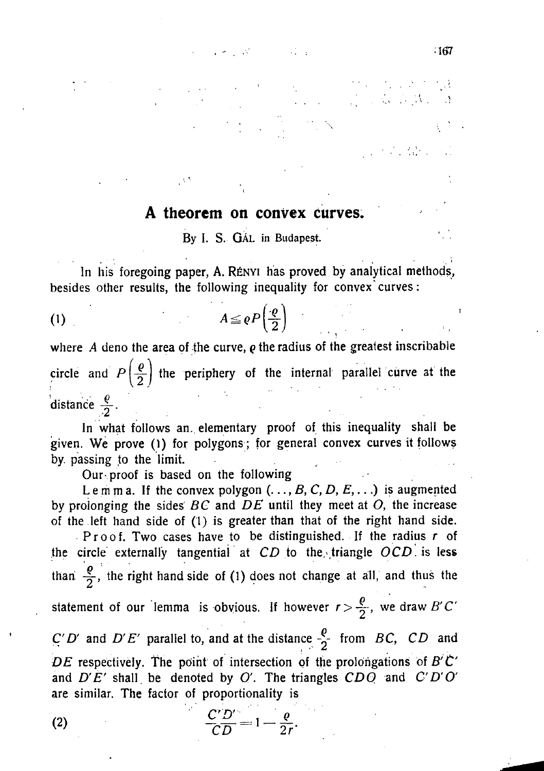## **A theorem on convex curves.**

 $-167$ 

**By** I. **S.** GAL **in** Budapest.

**In his foregoing paper,** A. R£NYI **has proved by analytical methods,**  besides other results, the following inequality for convex curves:

$$
A \leq \rho P\left(\frac{\rho}{2}\right)
$$

**where** *A* **deno the area of the curve,** *Q* **the radius of the greatest inscribable**  circle and  $P\left(\frac{\rho}{2}\right)$  the periphery of the internal parallel curve at the distance  $\frac{\varrho}{2}$ .

**In what follows an. elementary proof of this inequality shall be given. We prove (1) for polygons; for general convex curves it follows by. passing to the limit.** 

**Our proof is based on the following** 

Lemma. If the convex polygon  $(., ., B, C, D, E, ...)$  is augmented **by prolonging the sides** *BC* **and** *DE* **until they meet at** *O,* **the increase of the left hand side of (1) is greater than that of the right hand side.** 

**Proof . Two cases have to be distinguished. If the radius** *r* **of**  the circle externally tangential at  $CD$  to the triangle  $OCD$  is less than  $\frac{p}{q}$ , the right hand side of (1) does not change at all, and thus the **statement of our lemma is obvious. If however**  $r > \frac{\rho}{2}$ **, we draw** *B'C'*  $C'D'$  and  $D'E'$  parallel to, and at the distance  $-\frac{\rho}{2}$  from *BC*, *CD* and *DE* **respectively. The point of intersection of the prolongations of** *B'C'*  **and** *D'E'* **shall, be denoted by** *O.* **The triangles** *CDO* **and** *C'D'O'*  **are similar. The factor of proportionality is** 

 $\frac{C'D'}{CD} = 1 - \frac{\varrho}{2r}.$ 

 $(2)$